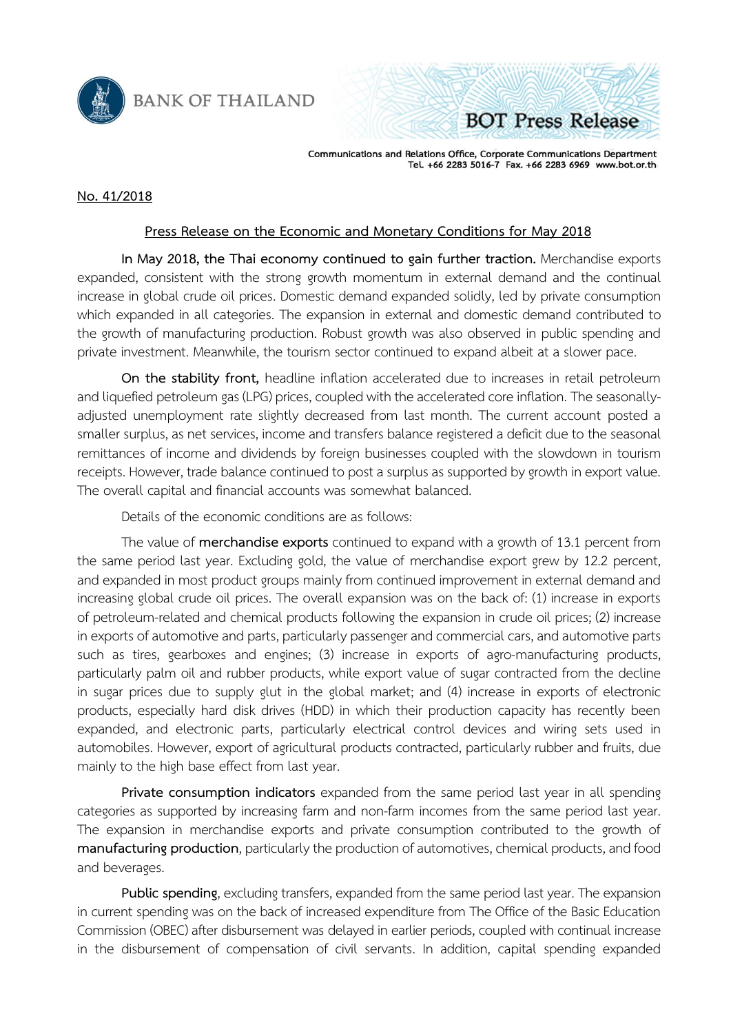

**BANK OF THAILAND** 

**BOT Press Release** 

Communications and Relations Office, Corporate Communications Department<br>Tel. +66 2283 5016-7 Fax. +66 2283 6969 www.bot.or.th

## **No. 41/2018**

## **Press Release on the Economic and Monetary Conditions for May 2018**

**In May 2018, the Thai economy continued to gain further traction.** Merchandise exports expanded, consistent with the strong growth momentum in external demand and the continual increase in global crude oil prices. Domestic demand expanded solidly, led by private consumption which expanded in all categories. The expansion in external and domestic demand contributed to the growth of manufacturing production. Robust growth was also observed in public spending and private investment. Meanwhile, the tourism sector continued to expand albeit at a slower pace.

**On the stability front,** headline inflation accelerated due to increases in retail petroleum and liquefied petroleum gas (LPG) prices, coupled with the accelerated core inflation. The seasonallyadjusted unemployment rate slightly decreased from last month. The current account posted a smaller surplus, as net services, income and transfers balance registered a deficit due to the seasonal remittances of income and dividends by foreign businesses coupled with the slowdown in tourism receipts. However, trade balance continued to post a surplus as supported by growth in export value. The overall capital and financial accounts was somewhat balanced.

Details of the economic conditions are as follows:

The value of **merchandise exports** continued to expand with a growth of 13.1 percent from the same period last year. Excluding gold, the value of merchandise export grew by 12.2 percent, and expanded in most product groups mainly from continued improvement in external demand and increasing global crude oil prices. The overall expansion was on the back of: (1) increase in exports of petroleum-related and chemical products following the expansion in crude oil prices; (2) increase in exports of automotive and parts, particularly passenger and commercial cars, and automotive parts such as tires, gearboxes and engines; (3) increase in exports of agro-manufacturing products, particularly palm oil and rubber products, while export value of sugar contracted from the decline in sugar prices due to supply glut in the global market; and (4) increase in exports of electronic products, especially hard disk drives (HDD) in which their production capacity has recently been expanded, and electronic parts, particularly electrical control devices and wiring sets used in automobiles. However, export of agricultural products contracted, particularly rubber and fruits, due mainly to the high base effect from last year.

**Private consumption indicators** expanded from the same period last year in all spending categories as supported by increasing farm and non-farm incomes from the same period last year. The expansion in merchandise exports and private consumption contributed to the growth of **manufacturing production**, particularly the production of automotives, chemical products, and food and beverages.

Public spending, excluding transfers, expanded from the same period last year. The expansion in current spending was on the back of increased expenditure from The Office of the Basic Education Commission (OBEC) after disbursement was delayed in earlier periods, coupled with continual increase in the disbursement of compensation of civil servants. In addition, capital spending expanded